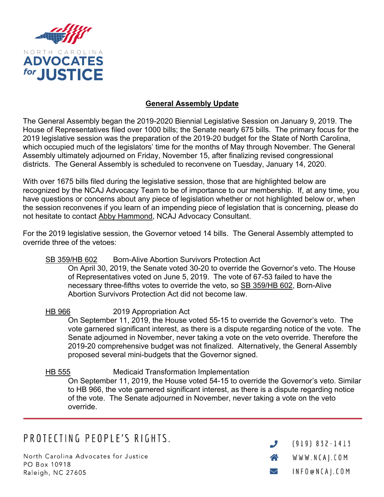

## **General Assembly Update**

The General Assembly began the 2019-2020 Biennial Legislative Session on January 9, 2019. The House of Representatives filed over 1000 bills; the Senate nearly 675 bills. The primary focus for the 2019 legislative session was the preparation of the 2019-20 budget for the State of North Carolina, which occupied much of the legislators' time for the months of May through November. The General Assembly ultimately adjourned on Friday, November 15, after finalizing revised congressional districts. The General Assembly is scheduled to reconvene on Tuesday, January 14, 2020.

With over 1675 bills filed during the legislative session, those that are highlighted below are recognized by the NCAJ Advocacy Team to be of importance to our membership. If, at any time, you have questions or concerns about any piece of legislation whether or not highlighted below or, when the session reconvenes if you learn of an impending piece of legislation that is concerning, please do not hesitate to contact Abby Hammond, NCAJ Advocacy Consultant.

For the 2019 legislative session, the Governor vetoed 14 bills. The General Assembly attempted to override three of the vetoes:

#### SB 359/HB 602 Born-Alive Abortion Survivors Protection Act

On April 30, 2019, the Senate voted 30-20 to override the Governor's veto. The House of Representatives voted on June 5, 2019. The vote of 67-53 failed to have the necessary three-fifths votes to override the veto, so SB 359/HB 602, Born-Alive Abortion Survivors Protection Act did not become law.

HB 966 2019 Appropriation Act On September 11, 2019, the House voted 55-15 to override the Governor's veto. The vote garnered significant interest, as there is a dispute regarding notice of the vote. The Senate adjourned in November, never taking a vote on the veto override. Therefore the 2019-20 comprehensive budget was not finalized. Alternatively, the General Assembly proposed several mini-budgets that the Governor signed.

# HB 555 Medicaid Transformation Implementation

On September 11, 2019, the House voted 54-15 to override the Governor's veto. Similar to HB 966, the vote garnered significant interest, as there is a dispute regarding notice of the vote. The Senate adjourned in November, never taking a vote on the veto override.

# PROTECTING PEOPLE'S RIGHTS.

North Carolina Advocates for Justice PO Box 10918 Raleigh, NC 27605

 $(919) 832 - 1413$  $\boldsymbol{J}$  $\triangle$ WWW.NCAJ.COM INFO@NCAJ.COM  $\smile$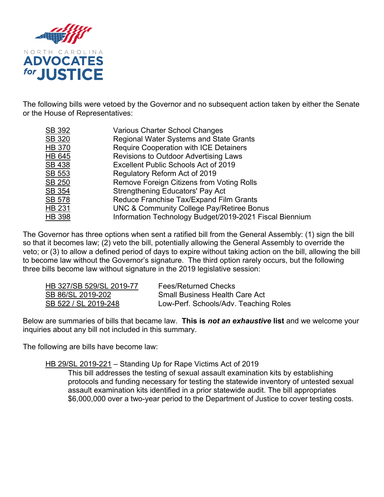

The following bills were vetoed by the Governor and no subsequent action taken by either the Senate or the House of Representatives:

| SB 392 | <b>Various Charter School Changes</b>                   |
|--------|---------------------------------------------------------|
| SB 320 | <b>Regional Water Systems and State Grants</b>          |
| HB 370 | <b>Require Cooperation with ICE Detainers</b>           |
| HB 645 | <b>Revisions to Outdoor Advertising Laws</b>            |
| SB 438 | Excellent Public Schools Act of 2019                    |
| SB 553 | Regulatory Reform Act of 2019                           |
| SB 250 | Remove Foreign Citizens from Voting Rolls               |
| SB 354 | Strengthening Educators' Pay Act                        |
| SB 578 | Reduce Franchise Tax/Expand Film Grants                 |
| HB 231 | <b>UNC &amp; Community College Pay/Retiree Bonus</b>    |
| HB 398 | Information Technology Budget/2019-2021 Fiscal Biennium |

The Governor has three options when sent a ratified bill from the General Assembly: (1) sign the bill so that it becomes law; (2) veto the bill, potentially allowing the General Assembly to override the veto; or (3) to allow a defined period of days to expire without taking action on the bill, allowing the bill to become law without the Governor's signature. The third option rarely occurs, but the following three bills become law without signature in the 2019 legislative session:

| HB 327/SB 529/SL 2019-77 | <b>Fees/Returned Checks</b>           |
|--------------------------|---------------------------------------|
| SB 86/SL 2019-202        | <b>Small Business Health Care Act</b> |
| SB 522 / SL 2019-248     | Low-Perf. Schools/Adv. Teaching Roles |

Below are summaries of bills that became law. **This is** *not an exhaustive* **list** and we welcome your inquiries about any bill not included in this summary.

The following are bills have become law:

HB 29/SL 2019-221 – Standing Up for Rape Victims Act of 2019

This bill addresses the testing of sexual assault examination kits by establishing protocols and funding necessary for testing the statewide inventory of untested sexual assault examination kits identified in a prior statewide audit. The bill appropriates \$6,000,000 over a two-year period to the Department of Justice to cover testing costs.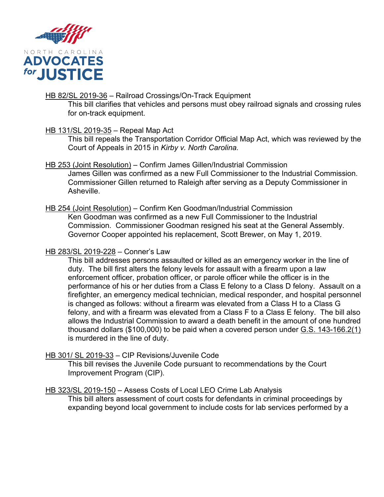

## HB 82/SL 2019-36 - Railroad Crossings/On-Track Equipment

This bill clarifies that vehicles and persons must obey railroad signals and crossing rules for on-track equipment.

# HB 131/SL 2019-35 – Repeal Map Act

This bill repeals the Transportation Corridor Official Map Act, which was reviewed by the Court of Appeals in 2015 in *Kirby v. North Carolina.*

## HB 253 (Joint Resolution) – Confirm James Gillen/Industrial Commission

James Gillen was confirmed as a new Full Commissioner to the Industrial Commission. Commissioner Gillen returned to Raleigh after serving as a Deputy Commissioner in Asheville.

## HB 254 (Joint Resolution) – Confirm Ken Goodman/Industrial Commission

Ken Goodman was confirmed as a new Full Commissioner to the Industrial Commission. Commissioner Goodman resigned his seat at the General Assembly. Governor Cooper appointed his replacement, Scott Brewer, on May 1, 2019.

## HB 283/SL 2019-228 – Conner's Law

This bill addresses persons assaulted or killed as an emergency worker in the line of duty. The bill first alters the felony levels for assault with a firearm upon a law enforcement officer, probation officer, or parole officer while the officer is in the performance of his or her duties from a Class E felony to a Class D felony. Assault on a firefighter, an emergency medical technician, medical responder, and hospital personnel is changed as follows: without a firearm was elevated from a Class H to a Class G felony, and with a firearm was elevated from a Class F to a Class E felony. The bill also allows the Industrial Commission to award a death benefit in the amount of one hundred thousand dollars (\$100,000) to be paid when a covered person under G.S. 143-166.2(1) is murdered in the line of duty.

# HB 301/ SL 2019-33 – CIP Revisions/Juvenile Code

This bill revises the Juvenile Code pursuant to recommendations by the Court Improvement Program (CIP).

#### HB 323/SL 2019-150 – Assess Costs of Local LEO Crime Lab Analysis

This bill alters assessment of court costs for defendants in criminal proceedings by expanding beyond local government to include costs for lab services performed by a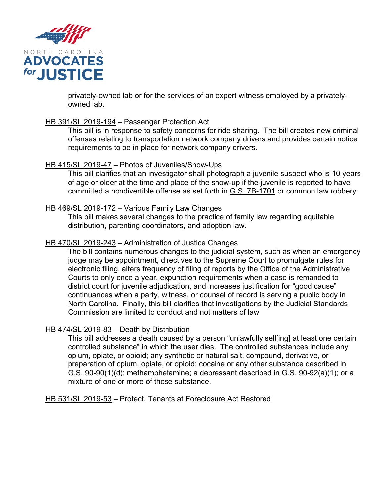

privately-owned lab or for the services of an expert witness employed by a privatelyowned lab.

#### HB 391/SL 2019-194 – Passenger Protection Act

This bill is in response to safety concerns for ride sharing. The bill creates new criminal offenses relating to transportation network company drivers and provides certain notice requirements to be in place for network company drivers.

#### HB 415/SL 2019-47 – Photos of Juveniles/Show-Ups

This bill clarifies that an investigator shall photograph a juvenile suspect who is 10 years of age or older at the time and place of the show-up if the juvenile is reported to have committed a nondivertible offense as set forth in G.S. 7B-1701 or common law robbery.

## HB 469/SL 2019-172 – Various Family Law Changes

This bill makes several changes to the practice of family law regarding equitable distribution, parenting coordinators, and adoption law.

## HB 470/SL 2019-243 – Administration of Justice Changes

The bill contains numerous changes to the judicial system, such as when an emergency judge may be appointment, directives to the Supreme Court to promulgate rules for electronic filing, alters frequency of filing of reports by the Office of the Administrative Courts to only once a year, expunction requirements when a case is remanded to district court for juvenile adjudication, and increases justification for "good cause" continuances when a party, witness, or counsel of record is serving a public body in North Carolina. Finally, this bill clarifies that investigations by the Judicial Standards Commission are limited to conduct and not matters of law

#### HB 474/SL 2019-83 – Death by Distribution

This bill addresses a death caused by a person "unlawfully sell[ing] at least one certain controlled substance" in which the user dies. The controlled substances include any opium, opiate, or opioid; any synthetic or natural salt, compound, derivative, or preparation of opium, opiate, or opioid; cocaine or any other substance described in G.S. 90-90(1)(d); methamphetamine; a depressant described in G.S. 90-92(a)(1); or a mixture of one or more of these substance.

HB 531/SL 2019-53 – Protect. Tenants at Foreclosure Act Restored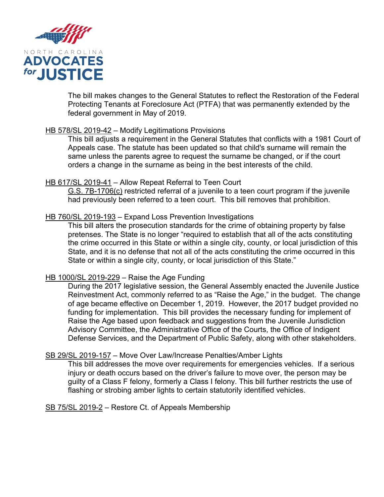

The bill makes changes to the General Statutes to reflect the Restoration of the Federal Protecting Tenants at Foreclosure Act (PTFA) that was permanently extended by the federal government in May of 2019.

## HB 578/SL 2019-42 – Modify Legitimations Provisions

This bill adjusts a requirement in the General Statutes that conflicts with a 1981 Court of Appeals case. The statute has been updated so that child's surname will remain the same unless the parents agree to request the surname be changed, or if the court orders a change in the surname as being in the best interests of the child.

#### HB 617/SL 2019-41 – Allow Repeat Referral to Teen Court

G.S. 7B-1706(c) restricted referral of a juvenile to a teen court program if the juvenile had previously been referred to a teen court. This bill removes that prohibition.

## HB 760/SL 2019-193 - Expand Loss Prevention Investigations

This bill alters the prosecution standards for the crime of obtaining property by false pretenses. The State is no longer "required to establish that all of the acts constituting the crime occurred in this State or within a single city, county, or local jurisdiction of this State, and it is no defense that not all of the acts constituting the crime occurred in this State or within a single city, county, or local jurisdiction of this State."

#### HB 1000/SL 2019-229 – Raise the Age Funding

During the 2017 legislative session, the General Assembly enacted the Juvenile Justice Reinvestment Act, commonly referred to as "Raise the Age," in the budget. The change of age became effective on December 1, 2019. However, the 2017 budget provided no funding for implementation. This bill provides the necessary funding for implement of Raise the Age based upon feedback and suggestions from the Juvenile Jurisdiction Advisory Committee, the Administrative Office of the Courts, the Office of Indigent Defense Services, and the Department of Public Safety, along with other stakeholders.

#### SB 29/SL 2019-157 – Move Over Law/Increase Penalties/Amber Lights

This bill addresses the move over requirements for emergencies vehicles. If a serious injury or death occurs based on the driver's failure to move over, the person may be guilty of a Class F felony, formerly a Class I felony. This bill further restricts the use of flashing or strobing amber lights to certain statutorily identified vehicles.

SB 75/SL 2019-2 – Restore Ct. of Appeals Membership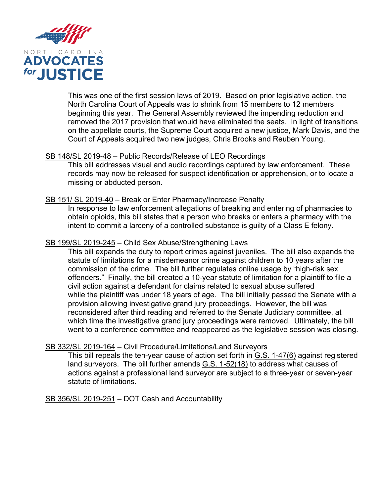

This was one of the first session laws of 2019. Based on prior legislative action, the North Carolina Court of Appeals was to shrink from 15 members to 12 members beginning this year. The General Assembly reviewed the impending reduction and removed the 2017 provision that would have eliminated the seats. In light of transitions on the appellate courts, the Supreme Court acquired a new justice, Mark Davis, and the Court of Appeals acquired two new judges, Chris Brooks and Reuben Young.

## SB 148/SL 2019-48 – Public Records/Release of LEO Recordings

This bill addresses visual and audio recordings captured by law enforcement. These records may now be released for suspect identification or apprehension, or to locate a missing or abducted person.

## SB 151/ SL 2019-40 – Break or Enter Pharmacy/Increase Penalty

In response to law enforcement allegations of breaking and entering of pharmacies to obtain opioids, this bill states that a person who breaks or enters a pharmacy with the intent to commit a larceny of a controlled substance is guilty of a Class E felony.

## SB 199/SL 2019-245 – Child Sex Abuse/Strengthening Laws

This bill expands the duty to report crimes against juveniles. The bill also expands the statute of limitations for a misdemeanor crime against children to 10 years after the commission of the crime. The bill further regulates online usage by "high-risk sex offenders." Finally, the bill created a 10-year statute of limitation for a plaintiff to file a civil action against a defendant for claims related to sexual abuse suffered while the plaintiff was under 18 years of age. The bill initially passed the Senate with a provision allowing investigative grand jury proceedings. However, the bill was reconsidered after third reading and referred to the Senate Judiciary committee, at which time the investigative grand jury proceedings were removed. Ultimately, the bill went to a conference committee and reappeared as the legislative session was closing.

#### SB 332/SL 2019-164 – Civil Procedure/Limitations/Land Surveyors

This bill repeals the ten-year cause of action set forth in G.S. 1-47(6) against registered land surveyors. The bill further amends G.S. 1-52(18) to address what causes of actions against a professional land surveyor are subject to a three-year or seven-year statute of limitations.

SB 356/SL 2019-251 – DOT Cash and Accountability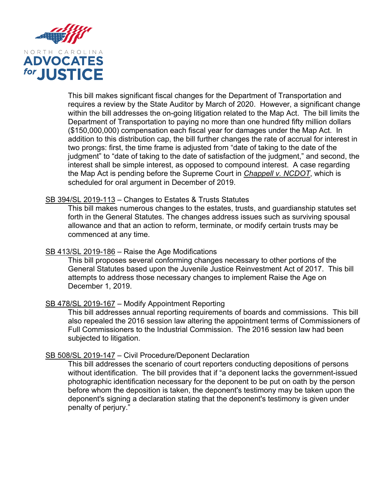

This bill makes significant fiscal changes for the Department of Transportation and requires a review by the State Auditor by March of 2020. However, a significant change within the bill addresses the on-going litigation related to the Map Act. The bill limits the Department of Transportation to paying no more than one hundred fifty million dollars (\$150,000,000) compensation each fiscal year for damages under the Map Act. In addition to this distribution cap, the bill further changes the rate of accrual for interest in two prongs: first, the time frame is adjusted from "date of taking to the date of the judgment" to "date of taking to the date of satisfaction of the judgment," and second, the interest shall be simple interest, as opposed to compound interest. A case regarding the Map Act is pending before the Supreme Court in *Chappell v. NCDOT*, which is scheduled for oral argument in December of 2019.

## SB 394/SL 2019-113 – Changes to Estates & Trusts Statutes

This bill makes numerous changes to the estates, trusts, and guardianship statutes set forth in the General Statutes. The changes address issues such as surviving spousal allowance and that an action to reform, terminate, or modify certain trusts may be commenced at any time.

#### SB 413/SL 2019-186 - Raise the Age Modifications

This bill proposes several conforming changes necessary to other portions of the General Statutes based upon the Juvenile Justice Reinvestment Act of 2017. This bill attempts to address those necessary changes to implement Raise the Age on December 1, 2019.

#### SB 478/SL 2019-167 – Modify Appointment Reporting

This bill addresses annual reporting requirements of boards and commissions. This bill also repealed the 2016 session law altering the appointment terms of Commissioners of Full Commissioners to the Industrial Commission. The 2016 session law had been subjected to litigation.

#### SB 508/SL 2019-147 – Civil Procedure/Deponent Declaration

This bill addresses the scenario of court reporters conducting depositions of persons without identification. The bill provides that if "a deponent lacks the government-issued photographic identification necessary for the deponent to be put on oath by the person before whom the deposition is taken, the deponent's testimony may be taken upon the deponent's signing a declaration stating that the deponent's testimony is given under penalty of perjury."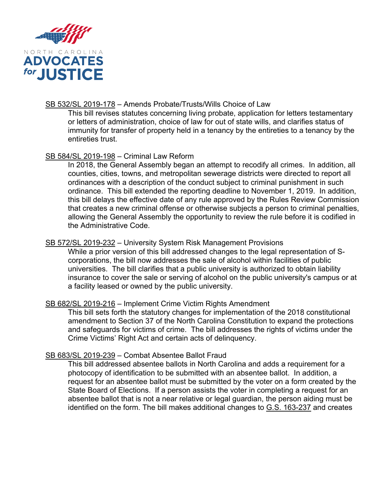

# SB 532/SL 2019-178 - Amends Probate/Trusts/Wills Choice of Law

This bill revises statutes concerning living probate, application for letters testamentary or letters of administration, choice of law for out of state wills, and clarifies status of immunity for transfer of property held in a tenancy by the entireties to a tenancy by the entireties trust.

## SB 584/SL 2019-198 – Criminal Law Reform

In 2018, the General Assembly began an attempt to recodify all crimes. In addition, all counties, cities, towns, and metropolitan sewerage districts were directed to report all ordinances with a description of the conduct subject to criminal punishment in such ordinance. This bill extended the reporting deadline to November 1, 2019. In addition, this bill delays the effective date of any rule approved by the Rules Review Commission that creates a new criminal offense or otherwise subjects a person to criminal penalties, allowing the General Assembly the opportunity to review the rule before it is codified in the Administrative Code.

# SB 572/SL 2019-232 – University System Risk Management Provisions

While a prior version of this bill addressed changes to the legal representation of Scorporations, the bill now addresses the sale of alcohol within facilities of public universities. The bill clarifies that a public university is authorized to obtain liability insurance to cover the sale or serving of alcohol on the public university's campus or at a facility leased or owned by the public university.

# SB 682/SL 2019-216 – Implement Crime Victim Rights Amendment

This bill sets forth the statutory changes for implementation of the 2018 constitutional amendment to Section 37 of the North Carolina Constitution to expand the protections and safeguards for victims of crime. The bill addresses the rights of victims under the Crime Victims' Right Act and certain acts of delinquency.

# SB 683/SL 2019-239 – Combat Absentee Ballot Fraud

This bill addressed absentee ballots in North Carolina and adds a requirement for a photocopy of identification to be submitted with an absentee ballot. In addition, a request for an absentee ballot must be submitted by the voter on a form created by the State Board of Elections. If a person assists the voter in completing a request for an absentee ballot that is not a near relative or legal guardian, the person aiding must be identified on the form. The bill makes additional changes to G.S. 163-237 and creates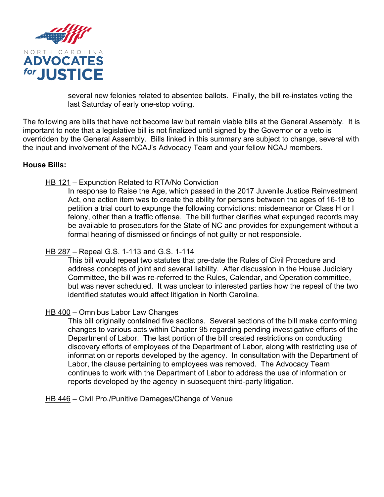

several new felonies related to absentee ballots. Finally, the bill re-instates voting the last Saturday of early one-stop voting.

The following are bills that have not become law but remain viable bills at the General Assembly. It is important to note that a legislative bill is not finalized until signed by the Governor or a veto is overridden by the General Assembly. Bills linked in this summary are subject to change, several with the input and involvement of the NCAJ's Advocacy Team and your fellow NCAJ members.

## **House Bills:**

## HB 121 – Expunction Related to RTA/No Conviction

In response to Raise the Age, which passed in the 2017 Juvenile Justice Reinvestment Act, one action item was to create the ability for persons between the ages of 16-18 to petition a trial court to expunge the following convictions: misdemeanor or Class H or I felony, other than a traffic offense. The bill further clarifies what expunged records may be available to prosecutors for the State of NC and provides for expungement without a formal hearing of dismissed or findings of not guilty or not responsible.

## HB 287 – Repeal G.S. 1-113 and G.S. 1-114

This bill would repeal two statutes that pre-date the Rules of Civil Procedure and address concepts of joint and several liability. After discussion in the House Judiciary Committee, the bill was re-referred to the Rules, Calendar, and Operation committee, but was never scheduled. It was unclear to interested parties how the repeal of the two identified statutes would affect litigation in North Carolina.

#### HB 400 – Omnibus Labor Law Changes

This bill originally contained five sections. Several sections of the bill make conforming changes to various acts within Chapter 95 regarding pending investigative efforts of the Department of Labor. The last portion of the bill created restrictions on conducting discovery efforts of employees of the Department of Labor, along with restricting use of information or reports developed by the agency. In consultation with the Department of Labor, the clause pertaining to employees was removed. The Advocacy Team continues to work with the Department of Labor to address the use of information or reports developed by the agency in subsequent third-party litigation.

HB 446 – Civil Pro./Punitive Damages/Change of Venue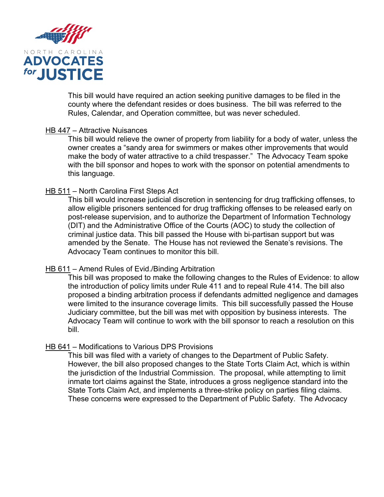

This bill would have required an action seeking punitive damages to be filed in the county where the defendant resides or does business. The bill was referred to the Rules, Calendar, and Operation committee, but was never scheduled.

#### HB 447 – Attractive Nuisances

This bill would relieve the owner of property from liability for a body of water, unless the owner creates a "sandy area for swimmers or makes other improvements that would make the body of water attractive to a child trespasser." The Advocacy Team spoke with the bill sponsor and hopes to work with the sponsor on potential amendments to this language.

#### HB 511 – North Carolina First Steps Act

This bill would increase judicial discretion in sentencing for drug trafficking offenses, to allow eligible prisoners sentenced for drug trafficking offenses to be released early on post-release supervision, and to authorize the Department of Information Technology (DIT) and the Administrative Office of the Courts (AOC) to study the collection of criminal justice data. This bill passed the House with bi-partisan support but was amended by the Senate. The House has not reviewed the Senate's revisions. The Advocacy Team continues to monitor this bill.

#### HB 611 – Amend Rules of Evid./Binding Arbitration

This bill was proposed to make the following changes to the Rules of Evidence: to allow the introduction of policy limits under Rule 411 and to repeal Rule 414. The bill also proposed a binding arbitration process if defendants admitted negligence and damages were limited to the insurance coverage limits. This bill successfully passed the House Judiciary committee, but the bill was met with opposition by business interests. The Advocacy Team will continue to work with the bill sponsor to reach a resolution on this bill.

#### HB 641 – Modifications to Various DPS Provisions

This bill was filed with a variety of changes to the Department of Public Safety. However, the bill also proposed changes to the State Torts Claim Act, which is within the jurisdiction of the Industrial Commission. The proposal, while attempting to limit inmate tort claims against the State, introduces a gross negligence standard into the State Torts Claim Act, and implements a three-strike policy on parties filing claims. These concerns were expressed to the Department of Public Safety. The Advocacy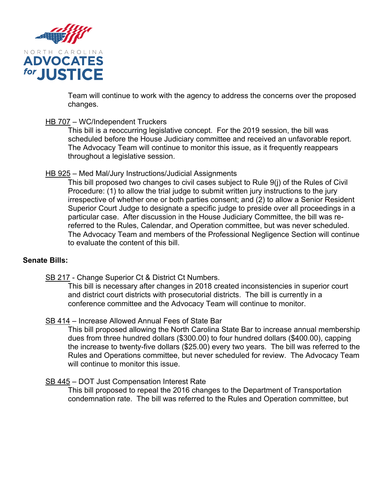

Team will continue to work with the agency to address the concerns over the proposed changes.

#### HB 707 – WC/Independent Truckers

This bill is a reoccurring legislative concept. For the 2019 session, the bill was scheduled before the House Judiciary committee and received an unfavorable report. The Advocacy Team will continue to monitor this issue, as it frequently reappears throughout a legislative session.

## HB 925 – Med Mal/Jury Instructions/Judicial Assignments

This bill proposed two changes to civil cases subject to Rule 9(j) of the Rules of Civil Procedure: (1) to allow the trial judge to submit written jury instructions to the jury irrespective of whether one or both parties consent; and (2) to allow a Senior Resident Superior Court Judge to designate a specific judge to preside over all proceedings in a particular case. After discussion in the House Judiciary Committee, the bill was rereferred to the Rules, Calendar, and Operation committee, but was never scheduled. The Advocacy Team and members of the Professional Negligence Section will continue to evaluate the content of this bill.

#### **Senate Bills:**

SB 217 - Change Superior Ct & District Ct Numbers.

This bill is necessary after changes in 2018 created inconsistencies in superior court and district court districts with prosecutorial districts. The bill is currently in a conference committee and the Advocacy Team will continue to monitor.

# SB 414 – Increase Allowed Annual Fees of State Bar

This bill proposed allowing the North Carolina State Bar to increase annual membership dues from three hundred dollars (\$300.00) to four hundred dollars (\$400.00), capping the increase to twenty-five dollars (\$25.00) every two years. The bill was referred to the Rules and Operations committee, but never scheduled for review. The Advocacy Team will continue to monitor this issue.

#### SB 445 – DOT Just Compensation Interest Rate

This bill proposed to repeal the 2016 changes to the Department of Transportation condemnation rate. The bill was referred to the Rules and Operation committee, but